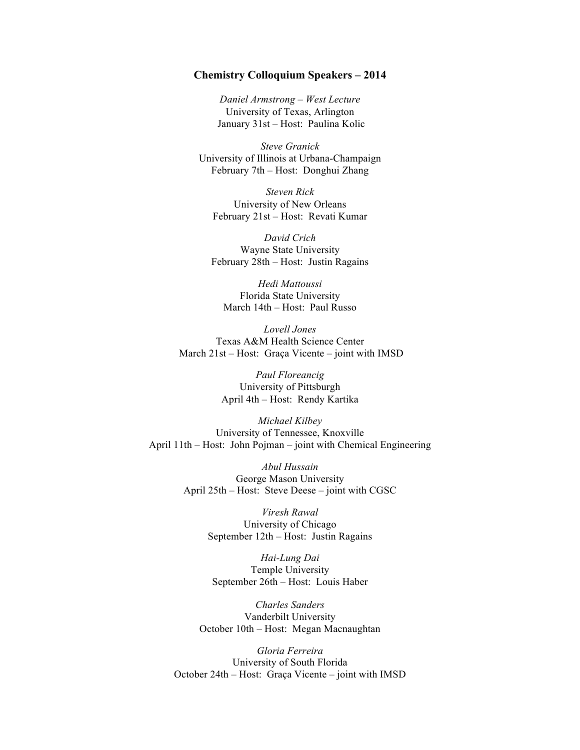## **Chemistry Colloquium Speakers – 2014**

*Daniel Armstrong – West Lecture* University of Texas, Arlington January 31st – Host: Paulina Kolic

*Steve Granick* University of Illinois at Urbana-Champaign February 7th – Host: Donghui Zhang

*Steven Rick* University of New Orleans February 21st – Host: Revati Kumar

*David Crich* Wayne State University February 28th – Host: Justin Ragains

*Hedi Mattoussi* Florida State University March 14th – Host: Paul Russo

*Lovell Jones* Texas A&M Health Science Center March 21st – Host: Graça Vicente – joint with IMSD

> *Paul Floreancig* University of Pittsburgh April 4th – Host: Rendy Kartika

*Michael Kilbey*  University of Tennessee, Knoxville April 11th – Host: John Pojman – joint with Chemical Engineering

> *Abul Hussain* George Mason University April 25th – Host: Steve Deese – joint with CGSC

> > *Viresh Rawal* University of Chicago September 12th – Host: Justin Ragains

*Hai-Lung Dai* Temple University September 26th – Host: Louis Haber

*Charles Sanders* Vanderbilt University October 10th – Host: Megan Macnaughtan

*Gloria Ferreira* University of South Florida October 24th – Host: Graça Vicente – joint with IMSD